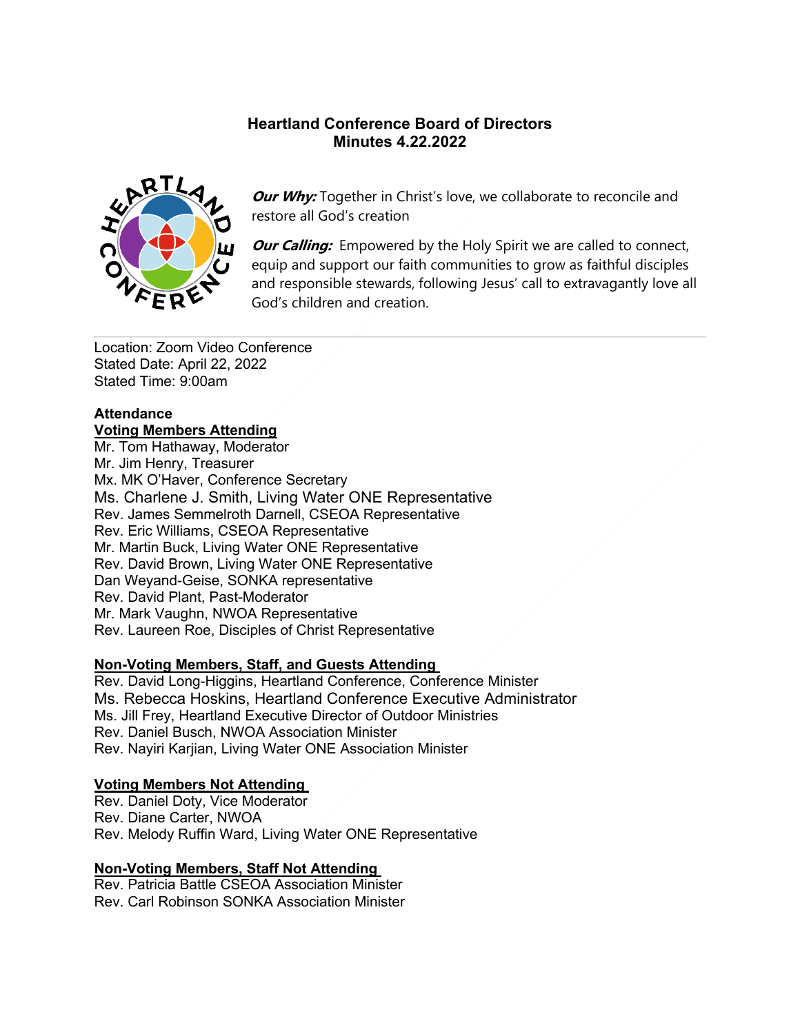### **Heartland Conference Board of Directors Minutes 4.22.2022**



**Our Why:** Together in Christ's love, we collaborate to reconcile and restore all God's creation

*Our Calling:* Empowered by the Holy Spirit we are called to connect, equip and support our faith communities to grow as faithful disciples and responsible stewards, following Jesus' call to extravagantly love all God's children and creation.

Location: Zoom Video Conference Stated Date: April 22, 2022 Stated Time: 9:00am

#### **Attendance Voting Members Attending**

Mr. Tom Hathaway, Moderator Mr. Jim Henry, Treasurer Mx. MK O'Haver, Conference Secretary Ms. Charlene J. Smith, Living Water ONE Representative Rev. James Semmelroth Darnell, CSEOA Representative Rev. Eric Williams, CSEOA Representative

Mr. Martin Buck, Living Water ONE Representative Rev. David Brown, Living Water ONE Representative Dan Weyand-Geise, SONKA representative Rev. David Plant, Past-Moderator Mr. Mark Vaughn, NWOA Representative Rev. Laureen Roe, Disciples of Christ Representative

# **Non-Voting Members, Staff, and Guests Attending**

Rev. David Long-Higgins, Heartland Conference, Conference Minister Ms. Rebecca Hoskins, Heartland Conference Executive Administrator Ms. Jill Frey, Heartland Executive Director of Outdoor Ministries Rev. Daniel Busch, NWOA Association Minister Rev. Nayiri Karjian, Living Water ONE Association Minister

### **Voting Members Not Attending**

Rev. Daniel Doty, Vice Moderator Rev. Diane Carter, NWOA Rev. Melody Ruffin Ward, Living Water ONE Representative

# **Non-Voting Members, Staff Not Attending**

Rev. Patricia Battle CSEOA Association Minister Rev. Carl Robinson SONKA Association Minister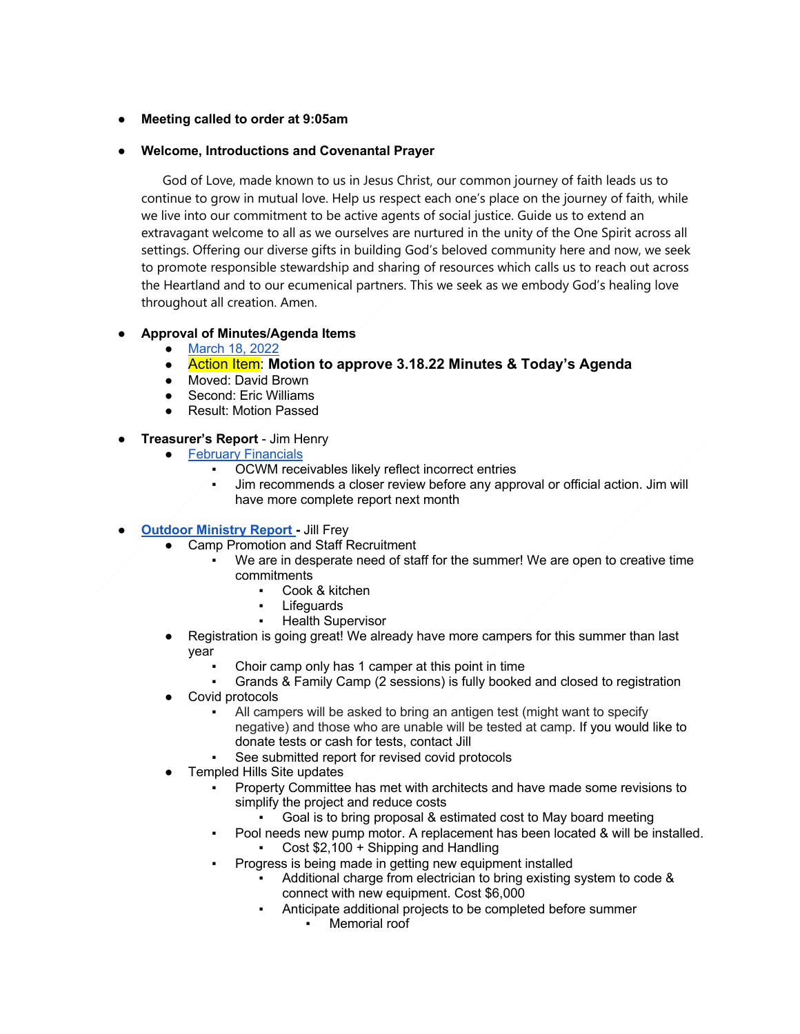#### ● **Meeting called to order at 9:05am**

#### ● **Welcome, Introductions and Covenantal Prayer**

 God of Love, made known to us in Jesus Christ, our common journey of faith leads us to continue to grow in mutual love. Help us respect each one's place on the journey of faith, while we live into our commitment to be active agents of social justice. Guide us to extend an extravagant welcome to all as we ourselves are nurtured in the unity of the One Spirit across all settings. Offering our diverse gifts in building God's beloved community here and now, we seek to promote responsible stewardship and sharing of resources which calls us to reach out across the Heartland and to our ecumenical partners. This we seek as we embody God's healing love throughout all creation. Amen.

### ● **Approval of Minutes/Agenda Items**

- March 18, 2022
- Action Item: **Motion to approve 3.18.22 Minutes & Today's Agenda**
- Moved: David Brown
- Second: Eric Williams
- **Result: Motion Passed**

#### ● **Treasurer's Report** - Jim Henry

- February Financials
	- OCWM receivables likely reflect incorrect entries
	- Jim recommends a closer review before any approval or official action. Jim will have more complete report next month
- **Outdoor Ministry Report Jill Frey** 
	- **Camp Promotion and Staff Recruitment** 
		- We are in desperate need of staff for the summer! We are open to creative time commitments
			- Cook & kitchen
			- Lifeguards
			- **Health Supervisor**
	- Registration is going great! We already have more campers for this summer than last year
		- Choir camp only has 1 camper at this point in time
		- Grands & Family Camp (2 sessions) is fully booked and closed to registration
	- Covid protocols
		- All campers will be asked to bring an antigen test (might want to specify negative) and those who are unable will be tested at camp. If you would like to donate tests or cash for tests, contact Jill
		- See submitted report for revised covid protocols
	- Templed Hills Site updates
		- Property Committee has met with architects and have made some revisions to simplify the project and reduce costs
			- Goal is to bring proposal & estimated cost to May board meeting
		- Pool needs new pump motor. A replacement has been located & will be installed.
			- Cost  $$2,100 +$  Shipping and Handling
		- Progress is being made in getting new equipment installed
			- Additional charge from electrician to bring existing system to code & connect with new equipment. Cost \$6,000
			- Anticipate additional projects to be completed before summer
				- Memorial roof